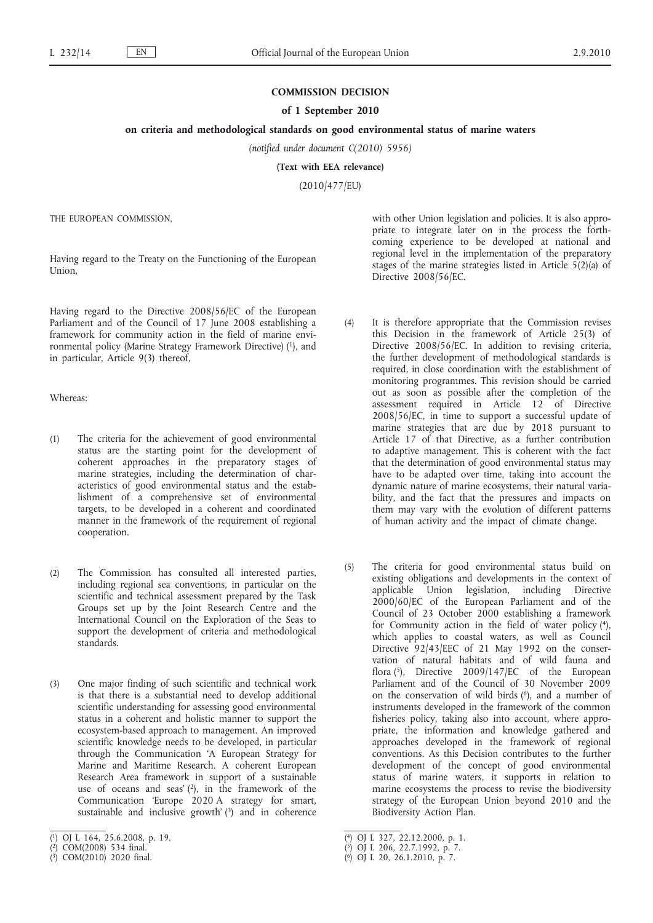## **COMMISSION DECISION**

### **of 1 September 2010**

## **on criteria and methodological standards on good environmental status of marine waters**

*(notified under document C(2010) 5956)*

**(Text with EEA relevance)**

(2010/477/EU)

THE EUROPEAN COMMISSION,

Having regard to the Treaty on the Functioning of the European Union,

Having regard to the Directive 2008/56/EC of the European Parliament and of the Council of 17 June 2008 establishing a framework for community action in the field of marine environmental policy (Marine Strategy Framework Directive) (1), and in particular, Article 9(3) thereof,

Whereas:

- (1) The criteria for the achievement of good environmental status are the starting point for the development of coherent approaches in the preparatory stages of marine strategies, including the determination of characteristics of good environmental status and the establishment of a comprehensive set of environmental targets, to be developed in a coherent and coordinated manner in the framework of the requirement of regional cooperation.
- (2) The Commission has consulted all interested parties, including regional sea conventions, in particular on the scientific and technical assessment prepared by the Task Groups set up by the Joint Research Centre and the International Council on the Exploration of the Seas to support the development of criteria and methodological standards.
- (3) One major finding of such scientific and technical work is that there is a substantial need to develop additional scientific understanding for assessing good environmental status in a coherent and holistic manner to support the ecosystem-based approach to management. An improved scientific knowledge needs to be developed, in particular through the Communication 'A European Strategy for Marine and Maritime Research. A coherent European Research Area framework in support of a sustainable use of oceans and seas'  $(2)$ , in the framework of the Communication 'Europe 2020 A strategy for smart, sustainable and inclusive growth' $(3)$  and in coherence

with other Union legislation and policies. It is also appropriate to integrate later on in the process the forthcoming experience to be developed at national and regional level in the implementation of the preparatory stages of the marine strategies listed in Article  $5(2)(a)$  of Directive 2008/56/EC.

- (4) It is therefore appropriate that the Commission revises this Decision in the framework of Article 25(3) of Directive 2008/56/EC. In addition to revising criteria, the further development of methodological standards is required, in close coordination with the establishment of monitoring programmes. This revision should be carried out as soon as possible after the completion of the assessment required in Article 12 of Directive 2008/56/EC, in time to support a successful update of marine strategies that are due by 2018 pursuant to Article 17 of that Directive, as a further contribution to adaptive management. This is coherent with the fact that the determination of good environmental status may have to be adapted over time, taking into account the dynamic nature of marine ecosystems, their natural variability, and the fact that the pressures and impacts on them may vary with the evolution of different patterns of human activity and the impact of climate change.
- (5) The criteria for good environmental status build on existing obligations and developments in the context of applicable Union legislation, including Directive 2000/60/EC of the European Parliament and of the Council of 23 October 2000 establishing a framework for Community action in the field of water policy (4), which applies to coastal waters, as well as Council Directive 92/43/EEC of 21 May 1992 on the conservation of natural habitats and of wild fauna and flora (5), Directive 2009/147/EC of the European Parliament and of the Council of 30 November 2009 on the conservation of wild birds (<sup>6</sup>), and a number of instruments developed in the framework of the common fisheries policy, taking also into account, where appropriate, the information and knowledge gathered and approaches developed in the framework of regional conventions. As this Decision contributes to the further development of the concept of good environmental status of marine waters, it supports in relation to marine ecosystems the process to revise the biodiversity strategy of the European Union beyond 2010 and the Biodiversity Action Plan.

<sup>(</sup> 1) OJ L 164, 25.6.2008, p. 19.

<sup>(</sup> 2) COM(2008) 534 final.

<sup>(</sup> 3) COM(2010) 2020 final.

<sup>(</sup> 4) OJ L 327, 22.12.2000, p. 1.

<sup>(</sup> 5) OJ L 206, 22.7.1992, p. 7.

<sup>(</sup> 6) OJ L 20, 26.1.2010, p. 7.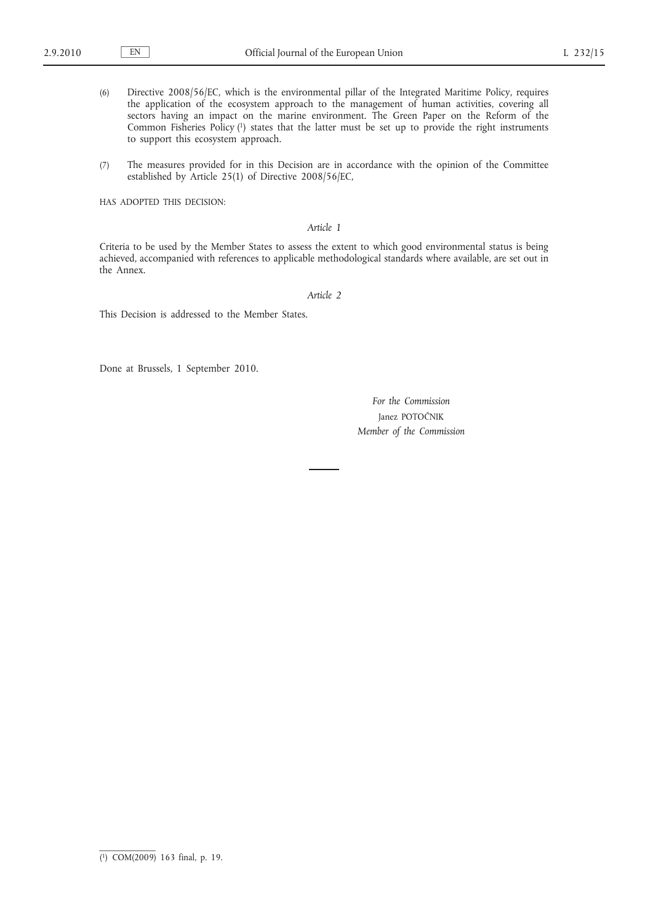- (6) Directive 2008/56/EC, which is the environmental pillar of the Integrated Maritime Policy, requires the application of the ecosystem approach to the management of human activities, covering all sectors having an impact on the marine environment. The Green Paper on the Reform of the Common Fisheries Policy (1) states that the latter must be set up to provide the right instruments to support this ecosystem approach.
- (7) The measures provided for in this Decision are in accordance with the opinion of the Committee established by Article 25(1) of Directive 2008/56/EC,

HAS ADOPTED THIS DECISION:

# *Article 1*

Criteria to be used by the Member States to assess the extent to which good environmental status is being achieved, accompanied with references to applicable methodological standards where available, are set out in the Annex.

*Article 2*

This Decision is addressed to the Member States.

Done at Brussels, 1 September 2010.

*For the Commission* Janez POTOČNIK *Member of the Commission*

<sup>(</sup> 1) COM(2009) 163 final, p. 19.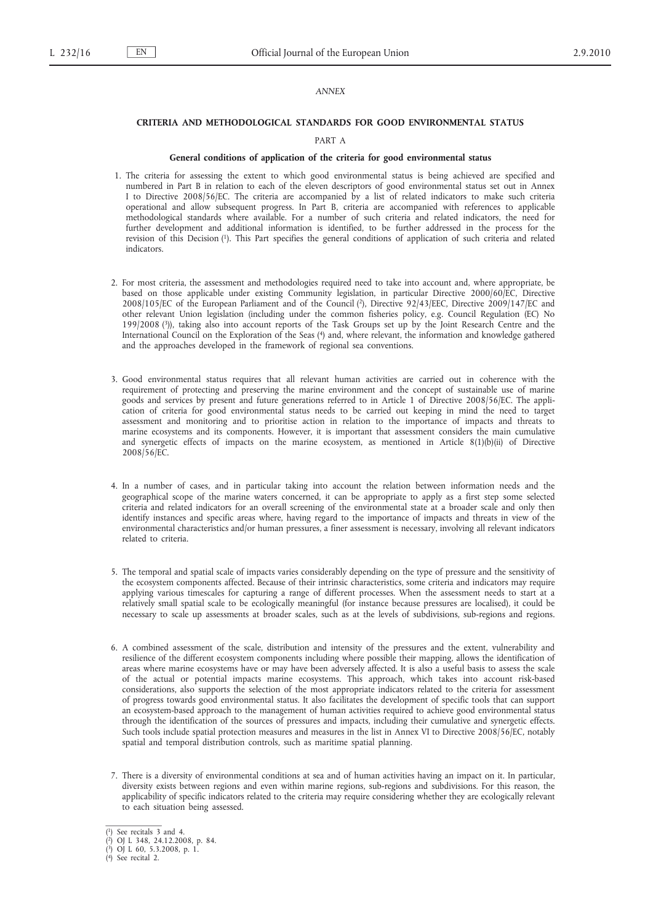## *ANNEX*

### **CRITERIA AND METHODOLOGICAL STANDARDS FOR GOOD ENVIRONMENTAL STATUS**

## PART A

### **General conditions of application of the criteria for good environmental status**

- 1. The criteria for assessing the extent to which good environmental status is being achieved are specified and numbered in Part B in relation to each of the eleven descriptors of good environmental status set out in Annex I to Directive 2008/56/EC. The criteria are accompanied by a list of related indicators to make such criteria operational and allow subsequent progress. In Part B, criteria are accompanied with references to applicable methodological standards where available. For a number of such criteria and related indicators, the need for further development and additional information is identified, to be further addressed in the process for the revision of this Decision (1). This Part specifies the general conditions of application of such criteria and related indicators.
- 2. For most criteria, the assessment and methodologies required need to take into account and, where appropriate, be based on those applicable under existing Community legislation, in particular Directive 2000/60/EC, Directive 2008/105/EC of the European Parliament and of the Council (2), Directive 92/43/EEC, Directive 2009/147/EC and other relevant Union legislation (including under the common fisheries policy, e.g. Council Regulation (EC) No 199/2008 (3)), taking also into account reports of the Task Groups set up by the Joint Research Centre and the International Council on the Exploration of the Seas (4) and, where relevant, the information and knowledge gathered and the approaches developed in the framework of regional sea conventions.
- 3. Good environmental status requires that all relevant human activities are carried out in coherence with the requirement of protecting and preserving the marine environment and the concept of sustainable use of marine goods and services by present and future generations referred to in Article 1 of Directive 2008/56/EC. The application of criteria for good environmental status needs to be carried out keeping in mind the need to target assessment and monitoring and to prioritise action in relation to the importance of impacts and threats to marine ecosystems and its components. However, it is important that assessment considers the main cumulative and synergetic effects of impacts on the marine ecosystem, as mentioned in Article 8(1)(b)(ii) of Directive 2008/56/EC.
- 4. In a number of cases, and in particular taking into account the relation between information needs and the geographical scope of the marine waters concerned, it can be appropriate to apply as a first step some selected criteria and related indicators for an overall screening of the environmental state at a broader scale and only then identify instances and specific areas where, having regard to the importance of impacts and threats in view of the environmental characteristics and/or human pressures, a finer assessment is necessary, involving all relevant indicators related to criteria.
- 5. The temporal and spatial scale of impacts varies considerably depending on the type of pressure and the sensitivity of the ecosystem components affected. Because of their intrinsic characteristics, some criteria and indicators may require applying various timescales for capturing a range of different processes. When the assessment needs to start at a relatively small spatial scale to be ecologically meaningful (for instance because pressures are localised), it could be necessary to scale up assessments at broader scales, such as at the levels of subdivisions, sub-regions and regions.
- 6. A combined assessment of the scale, distribution and intensity of the pressures and the extent, vulnerability and resilience of the different ecosystem components including where possible their mapping, allows the identification of areas where marine ecosystems have or may have been adversely affected. It is also a useful basis to assess the scale of the actual or potential impacts marine ecosystems. This approach, which takes into account risk-based considerations, also supports the selection of the most appropriate indicators related to the criteria for assessment of progress towards good environmental status. It also facilitates the development of specific tools that can support an ecosystem-based approach to the management of human activities required to achieve good environmental status through the identification of the sources of pressures and impacts, including their cumulative and synergetic effects. Such tools include spatial protection measures and measures in the list in Annex VI to Directive 2008/56/EC, notably spatial and temporal distribution controls, such as maritime spatial planning.
- 7. There is a diversity of environmental conditions at sea and of human activities having an impact on it. In particular, diversity exists between regions and even within marine regions, sub-regions and subdivisions. For this reason, the applicability of specific indicators related to the criteria may require considering whether they are ecologically relevant to each situation being assessed.

<sup>(</sup> 1) See recitals 3 and 4.

<sup>(</sup> 2) OJ L 348, 24.12.2008, p. 84.

<sup>(</sup> 3) OJ L 60, 5.3.2008, p. 1.

<sup>(</sup> 4) See recital 2.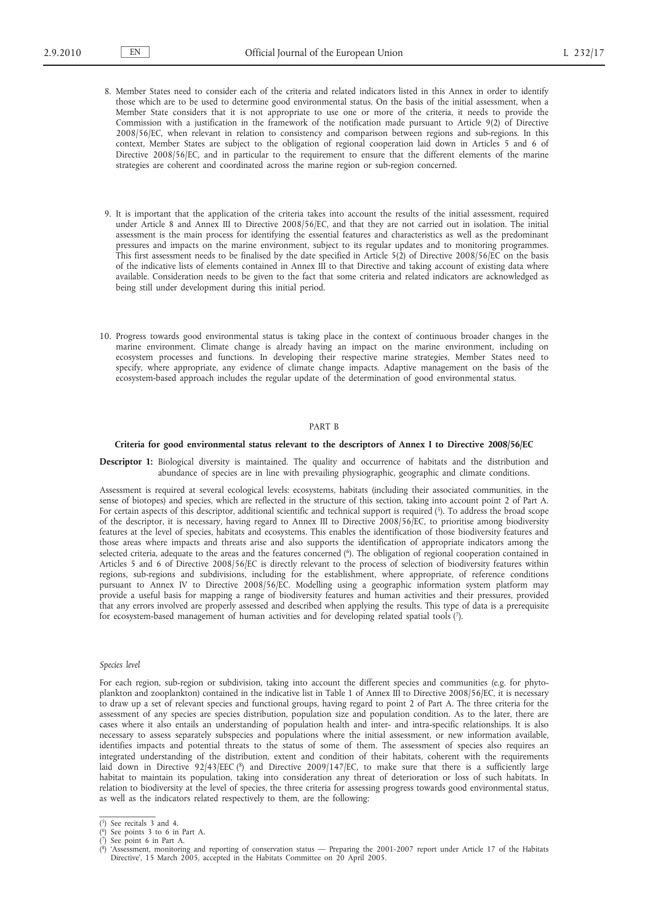- 8. Member States need to consider each of the criteria and related indicators listed in this Annex in order to identify those which are to be used to determine good environmental status. On the basis of the initial assessment, when a Member State considers that it is not appropriate to use one or more of the criteria, it needs to provide the Commission with a justification in the framework of the notification made pursuant to Article 9(2) of Directive 2008/56/EC, when relevant in relation to consistency and comparison between regions and sub-regions. In this context, Member States are subject to the obligation of regional cooperation laid down in Articles 5 and 6 of Directive 2008/56/EC, and in particular to the requirement to ensure that the different elements of the marine strategies are coherent and coordinated across the marine region or sub-region concerned.
- 9. It is important that the application of the criteria takes into account the results of the initial assessment, required under Article 8 and Annex III to Directive 2008/56/EC, and that they are not carried out in isolation. The initial assessment is the main process for identifying the essential features and characteristics as well as the predominant pressures and impacts on the marine environment, subject to its regular updates and to monitoring programmes. This first assessment needs to be finalised by the date specified in Article 5(2) of Directive 2008/56/EC on the basis of the indicative lists of elements contained in Annex III to that Directive and taking account of existing data where available. Consideration needs to be given to the fact that some criteria and related indicators are acknowledged as being still under development during this initial period.
- 10. Progress towards good environmental status is taking place in the context of continuous broader changes in the marine environment. Climate change is already having an impact on the marine environment, including on ecosystem processes and functions. In developing their respective marine strategies, Member States need to specify, where appropriate, any evidence of climate change impacts. Adaptive management on the basis of the ecosystem-based approach includes the regular update of the determination of good environmental status.

## PART B

#### **Criteria for good environmental status relevant to the descriptors of Annex I to Directive 2008/56/EC**

**Descriptor 1:** Biological diversity is maintained. The quality and occurrence of habitats and the distribution and abundance of species are in line with prevailing physiographic, geographic and climate conditions.

Assessment is required at several ecological levels: ecosystems, habitats (including their associated communities, in the sense of biotopes) and species, which are reflected in the structure of this section, taking into account point 2 of Part A. For certain aspects of this descriptor, additional scientific and technical support is required (5). To address the broad scope of the descriptor, it is necessary, having regard to Annex III to Directive 2008/56/EC, to prioritise among biodiversity features at the level of species, habitats and ecosystems. This enables the identification of those biodiversity features and those areas where impacts and threats arise and also supports the identification of appropriate indicators among the selected criteria, adequate to the areas and the features concerned (6). The obligation of regional cooperation contained in Articles 5 and 6 of Directive 2008/56/EC is directly relevant to the process of selection of biodiversity features within regions, sub-regions and subdivisions, including for the establishment, where appropriate, of reference conditions pursuant to Annex IV to Directive 2008/56/EC. Modelling using a geographic information system platform may provide a useful basis for mapping a range of biodiversity features and human activities and their pressures, provided that any errors involved are properly assessed and described when applying the results. This type of data is a prerequisite for ecosystem-based management of human activities and for developing related spatial tools (7).

### *Species level*

For each region, sub-region or subdivision, taking into account the different species and communities (e.g. for phytoplankton and zooplankton) contained in the indicative list in Table 1 of Annex III to Directive 2008/56/EC, it is necessary to draw up a set of relevant species and functional groups, having regard to point 2 of Part A. The three criteria for the assessment of any species are species distribution, population size and population condition. As to the later, there are cases where it also entails an understanding of population health and inter- and intra-specific relationships. It is also necessary to assess separately subspecies and populations where the initial assessment, or new information available, identifies impacts and potential threats to the status of some of them. The assessment of species also requires an integrated understanding of the distribution, extent and condition of their habitats, coherent with the requirements laid down in Directive 92/43/EEC (8) and Directive 2009/147/EC, to make sure that there is a sufficiently large habitat to maintain its population, taking into consideration any threat of deterioration or loss of such habitats. In relation to biodiversity at the level of species, the three criteria for assessing progress towards good environmental status, as well as the indicators related respectively to them, are the following:

<sup>(</sup> 5) See recitals 3 and 4. ( 6) See points 3 to 6 in Part A.

<sup>(</sup> 7) See point 6 in Part A.

 $<sup>(8)</sup>$ </sup> 8) 'Assessment, monitoring and reporting of conservation status — Preparing the 2001-2007 report under Article 17 of the Habitats Directive', 15 March 2005, accepted in the Habitats Committee on 20 April 2005.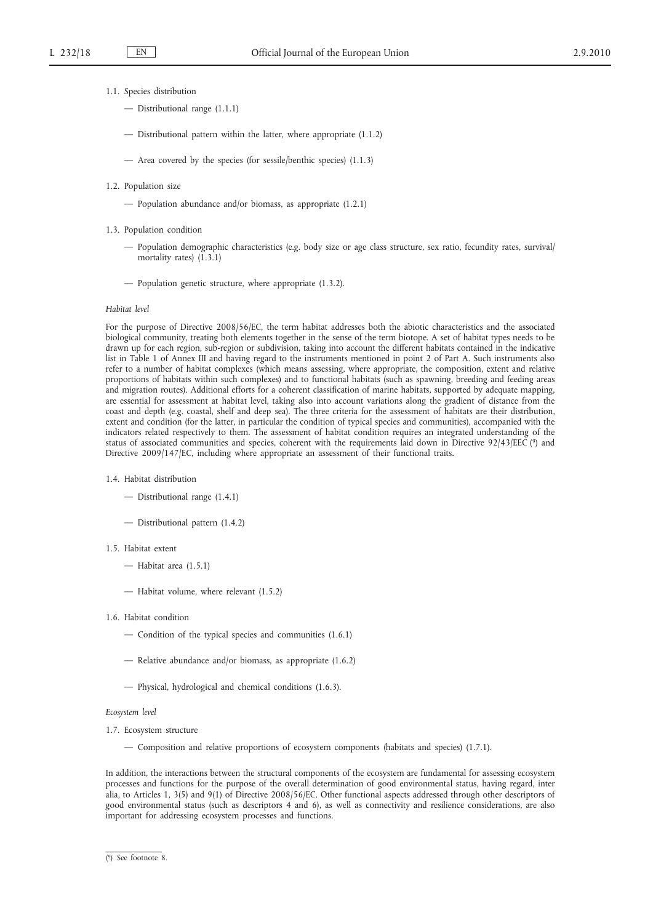- 1.1. Species distribution
	- Distributional range (1.1.1)
	- Distributional pattern within the latter, where appropriate (1.1.2)
	- Area covered by the species (for sessile/benthic species) (1.1.3)
- 1.2. Population size
	- Population abundance and/or biomass, as appropriate (1.2.1)
- 1.3. Population condition
	- Population demographic characteristics (e.g. body size or age class structure, sex ratio, fecundity rates, survival/ mortality rates)  $(1.3.1)$
	- Population genetic structure, where appropriate (1.3.2).

#### *Habitat level*

For the purpose of Directive 2008/56/EC, the term habitat addresses both the abiotic characteristics and the associated biological community, treating both elements together in the sense of the term biotope. A set of habitat types needs to be drawn up for each region, sub-region or subdivision, taking into account the different habitats contained in the indicative list in Table 1 of Annex III and having regard to the instruments mentioned in point 2 of Part A. Such instruments also refer to a number of habitat complexes (which means assessing, where appropriate, the composition, extent and relative proportions of habitats within such complexes) and to functional habitats (such as spawning, breeding and feeding areas and migration routes). Additional efforts for a coherent classification of marine habitats, supported by adequate mapping, are essential for assessment at habitat level, taking also into account variations along the gradient of distance from the coast and depth (e.g. coastal, shelf and deep sea). The three criteria for the assessment of habitats are their distribution, extent and condition (for the latter, in particular the condition of typical species and communities), accompanied with the indicators related respectively to them. The assessment of habitat condition requires an integrated understanding of the status of associated communities and species, coherent with the requirements laid down in Directive 92/43/EEC (9) and Directive 2009/147/EC, including where appropriate an assessment of their functional traits.

- 1.4. Habitat distribution
	- Distributional range (1.4.1)
	- Distributional pattern (1.4.2)

# 1.5. Habitat extent

- Habitat area (1.5.1)
- Habitat volume, where relevant (1.5.2)
- 1.6. Habitat condition
	- Condition of the typical species and communities (1.6.1)
	- Relative abundance and/or biomass, as appropriate (1.6.2)
	- Physical, hydrological and chemical conditions (1.6.3).

## *Ecosystem level*

- 1.7. Ecosystem structure
	- Composition and relative proportions of ecosystem components (habitats and species) (1.7.1).

In addition, the interactions between the structural components of the ecosystem are fundamental for assessing ecosystem processes and functions for the purpose of the overall determination of good environmental status, having regard, inter alia, to Articles 1, 3(5) and 9(1) of Directive 2008/56/EC. Other functional aspects addressed through other descriptors of good environmental status (such as descriptors 4 and 6), as well as connectivity and resilience considerations, are also important for addressing ecosystem processes and functions.

<sup>(</sup> 9) See footnote 8.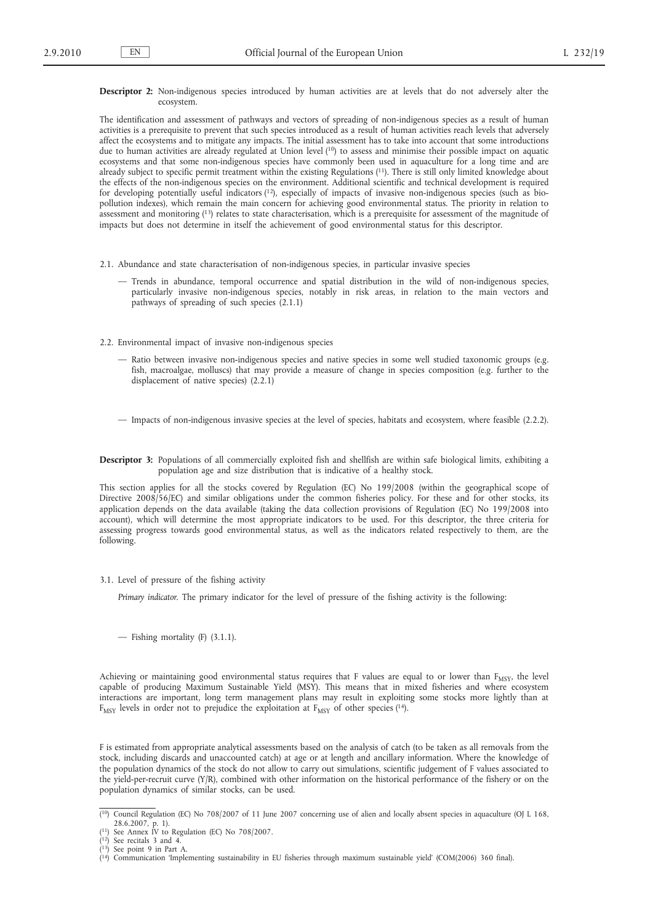## **Descriptor 2:** Non-indigenous species introduced by human activities are at levels that do not adversely alter the ecosystem.

The identification and assessment of pathways and vectors of spreading of non-indigenous species as a result of human activities is a prerequisite to prevent that such species introduced as a result of human activities reach levels that adversely affect the ecosystems and to mitigate any impacts. The initial assessment has to take into account that some introductions due to human activities are already regulated at Union level (<sup>10</sup>) to assess and minimise their possible impact on aquatic ecosystems and that some non-indigenous species have commonly been used in aquaculture for a long time and are already subject to specific permit treatment within the existing Regulations (<sup>11</sup>). There is still only limited knowledge about the effects of the non-indigenous species on the environment. Additional scientific and technical development is required for developing potentially useful indicators (12), especially of impacts of invasive non-indigenous species (such as biopollution indexes), which remain the main concern for achieving good environmental status. The priority in relation to assessment and monitoring (13) relates to state characterisation, which is a prerequisite for assessment of the magnitude of impacts but does not determine in itself the achievement of good environmental status for this descriptor.

- 2.1. Abundance and state characterisation of non-indigenous species, in particular invasive species
	- Trends in abundance, temporal occurrence and spatial distribution in the wild of non-indigenous species, particularly invasive non-indigenous species, notably in risk areas, in relation to the main vectors and pathways of spreading of such species (2.1.1)
- 2.2. Environmental impact of invasive non-indigenous species
	- Ratio between invasive non-indigenous species and native species in some well studied taxonomic groups (e.g. fish, macroalgae, molluscs) that may provide a measure of change in species composition (e.g. further to the displacement of native species) (2.2.1)
	- Impacts of non-indigenous invasive species at the level of species, habitats and ecosystem, where feasible (2.2.2).
- **Descriptor 3:** Populations of all commercially exploited fish and shellfish are within safe biological limits, exhibiting a population age and size distribution that is indicative of a healthy stock.

This section applies for all the stocks covered by Regulation (EC) No 199/2008 (within the geographical scope of Directive 2008/56/EC) and similar obligations under the common fisheries policy. For these and for other stocks, its application depends on the data available (taking the data collection provisions of Regulation (EC) No 199/2008 into account), which will determine the most appropriate indicators to be used. For this descriptor, the three criteria for assessing progress towards good environmental status, as well as the indicators related respectively to them, are the following.

3.1. Level of pressure of the fishing activity

*Primary indicator*. The primary indicator for the level of pressure of the fishing activity is the following:

— Fishing mortality (F) (3.1.1).

Achieving or maintaining good environmental status requires that F values are equal to or lower than  $F_{MSV}$ , the level capable of producing Maximum Sustainable Yield (MSY). This means that in mixed fisheries and where ecosystem interactions are important, long term management plans may result in exploiting some stocks more lightly than at  $F_{MSY}$  levels in order not to prejudice the exploitation at  $F_{MSY}$  of other species (14).

F is estimated from appropriate analytical assessments based on the analysis of catch (to be taken as all removals from the stock, including discards and unaccounted catch) at age or at length and ancillary information. Where the knowledge of the population dynamics of the stock do not allow to carry out simulations, scientific judgement of F values associated to the yield-per-recruit curve (Y/R), combined with other information on the historical performance of the fishery or on the population dynamics of similar stocks, can be used.

<sup>&</sup>lt;sup>{10}</sup> Council Regulation (EC) No 708/2007 of 11 June 2007 concerning use of alien and locally absent species in aquaculture (OJ L 168, 28.6.2007, p. 1). ( 11) See Annex IV to Regulation (EC) No 708/2007.

<sup>(</sup> 12) See recitals 3 and 4.

 $13)$  See point 9 in Part A.

<sup>(</sup> ( 14) Communication 'Implementing sustainability in EU fisheries through maximum sustainable yield' (COM(2006) 360 final).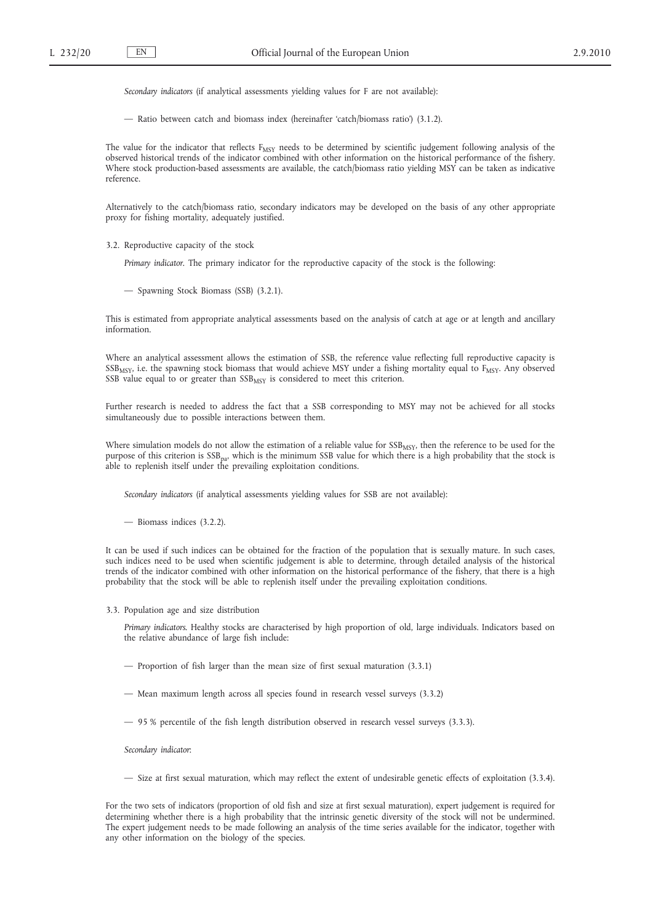*Secondary indicators* (if analytical assessments yielding values for F are not available):

— Ratio between catch and biomass index (hereinafter 'catch/biomass ratio') (3.1.2).

The value for the indicator that reflects F<sub>MSY</sub> needs to be determined by scientific judgement following analysis of the observed historical trends of the indicator combined with other information on the historical performance of the fishery. Where stock production-based assessments are available, the catch/biomass ratio yielding MSY can be taken as indicative reference.

Alternatively to the catch/biomass ratio, secondary indicators may be developed on the basis of any other appropriate proxy for fishing mortality, adequately justified.

3.2. Reproductive capacity of the stock

*Primary indicator*. The primary indicator for the reproductive capacity of the stock is the following:

— Spawning Stock Biomass (SSB) (3.2.1).

This is estimated from appropriate analytical assessments based on the analysis of catch at age or at length and ancillary information.

Where an analytical assessment allows the estimation of SSB, the reference value reflecting full reproductive capacity is  $SSB<sub>MSY</sub>$ , i.e. the spawning stock biomass that would achieve MSY under a fishing mortality equal to  $F<sub>MSY</sub>$ . Any observed SSB value equal to or greater than  $SSB_{MSY}$  is considered to meet this criterion.

Further research is needed to address the fact that a SSB corresponding to MSY may not be achieved for all stocks simultaneously due to possible interactions between them.

Where simulation models do not allow the estimation of a reliable value for  $SSB_{\text{MSY}}$ , then the reference to be used for the purpose of this criterion is SSBpa, which is the minimum SSB value for which there is a high probability that the stock is able to replenish itself under the prevailing exploitation conditions.

*Secondary indicators* (if analytical assessments yielding values for SSB are not available):

— Biomass indices (3.2.2).

It can be used if such indices can be obtained for the fraction of the population that is sexually mature. In such cases, such indices need to be used when scientific judgement is able to determine, through detailed analysis of the historical trends of the indicator combined with other information on the historical performance of the fishery, that there is a high probability that the stock will be able to replenish itself under the prevailing exploitation conditions.

3.3. Population age and size distribution

*Primary indicators*. Healthy stocks are characterised by high proportion of old, large individuals. Indicators based on the relative abundance of large fish include:

- Proportion of fish larger than the mean size of first sexual maturation (3.3.1)
- Mean maximum length across all species found in research vessel surveys (3.3.2)
- 95 % percentile of the fish length distribution observed in research vessel surveys (3.3.3).

*Secondary indicator*:

— Size at first sexual maturation, which may reflect the extent of undesirable genetic effects of exploitation (3.3.4).

For the two sets of indicators (proportion of old fish and size at first sexual maturation), expert judgement is required for determining whether there is a high probability that the intrinsic genetic diversity of the stock will not be undermined. The expert judgement needs to be made following an analysis of the time series available for the indicator, together with any other information on the biology of the species.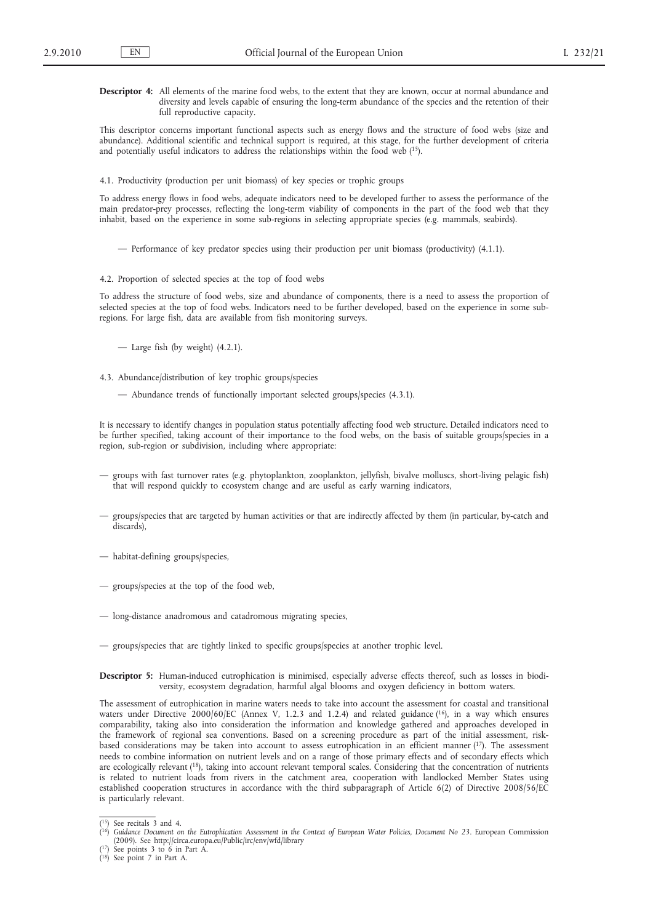**Descriptor 4:** All elements of the marine food webs, to the extent that they are known, occur at normal abundance and diversity and levels capable of ensuring the long-term abundance of the species and the retention of their full reproductive capacity.

This descriptor concerns important functional aspects such as energy flows and the structure of food webs (size and abundance). Additional scientific and technical support is required, at this stage, for the further development of criteria and potentially useful indicators to address the relationships within the food web (15).

4.1. Productivity (production per unit biomass) of key species or trophic groups

To address energy flows in food webs, adequate indicators need to be developed further to assess the performance of the main predator-prey processes, reflecting the long-term viability of components in the part of the food web that they inhabit, based on the experience in some sub-regions in selecting appropriate species (e.g. mammals, seabirds).

- Performance of key predator species using their production per unit biomass (productivity) (4.1.1).
- 4.2. Proportion of selected species at the top of food webs

To address the structure of food webs, size and abundance of components, there is a need to assess the proportion of selected species at the top of food webs. Indicators need to be further developed, based on the experience in some subregions. For large fish, data are available from fish monitoring surveys.

- Large fish (by weight) (4.2.1).
- 4.3. Abundance/distribution of key trophic groups/species
	- Abundance trends of functionally important selected groups/species (4.3.1).

It is necessary to identify changes in population status potentially affecting food web structure. Detailed indicators need to be further specified, taking account of their importance to the food webs, on the basis of suitable groups/species in a region, sub-region or subdivision, including where appropriate:

- groups with fast turnover rates (e.g. phytoplankton, zooplankton, jellyfish, bivalve molluscs, short-living pelagic fish) that will respond quickly to ecosystem change and are useful as early warning indicators,
- groups/species that are targeted by human activities or that are indirectly affected by them (in particular, by-catch and discards),
- habitat-defining groups/species,
- groups/species at the top of the food web,
- long-distance anadromous and catadromous migrating species,
- groups/species that are tightly linked to specific groups/species at another trophic level.

**Descriptor 5:** Human-induced eutrophication is minimised, especially adverse effects thereof, such as losses in biodiversity, ecosystem degradation, harmful algal blooms and oxygen deficiency in bottom waters.

The assessment of eutrophication in marine waters needs to take into account the assessment for coastal and transitional waters under Directive 2000/60/EC (Annex V, 1.2.3 and 1.2.4) and related guidance (16), in a way which ensures comparability, taking also into consideration the information and knowledge gathered and approaches developed in the framework of regional sea conventions. Based on a screening procedure as part of the initial assessment, riskbased considerations may be taken into account to assess eutrophication in an efficient manner (17). The assessment needs to combine information on nutrient levels and on a range of those primary effects and of secondary effects which are ecologically relevant (18), taking into account relevant temporal scales. Considering that the concentration of nutrients is related to nutrient loads from rivers in the catchment area, cooperation with landlocked Member States using established cooperation structures in accordance with the third subparagraph of Article 6(2) of Directive 2008/56/EC is particularly relevant.

<sup>(</sup> 15) See recitals 3 and 4. ( 16) *Guidance Document on the Eutrophication Assessment in the Context of European Water Policies, Document No 23*. European Commission (2009). See <http://circa.europa.eu/Public/irc/env/wfd/library>

<sup>(</sup> 17) See points 3 to 6 in Part A. ( 18) See point 7 in Part A.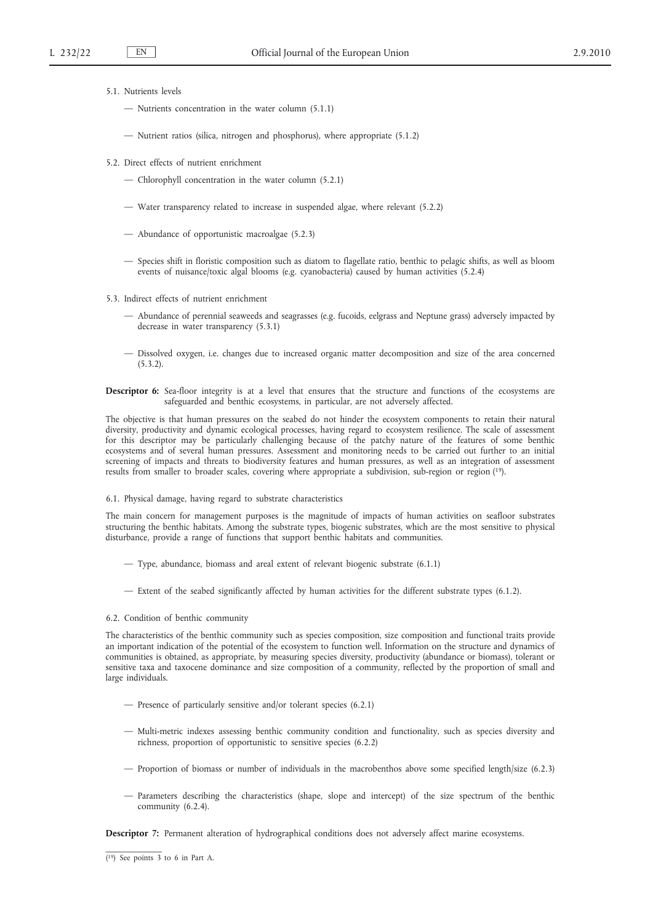- 5.1. Nutrients levels
	- Nutrients concentration in the water column (5.1.1)
	- Nutrient ratios (silica, nitrogen and phosphorus), where appropriate (5.1.2)
- 5.2. Direct effects of nutrient enrichment
	- Chlorophyll concentration in the water column (5.2.1)
	- Water transparency related to increase in suspended algae, where relevant (5.2.2)
	- Abundance of opportunistic macroalgae (5.2.3)
	- Species shift in floristic composition such as diatom to flagellate ratio, benthic to pelagic shifts, as well as bloom events of nuisance/toxic algal blooms (e.g. cyanobacteria) caused by human activities (5.2.4)
- 5.3. Indirect effects of nutrient enrichment
	- Abundance of perennial seaweeds and seagrasses (e.g. fucoids, eelgrass and Neptune grass) adversely impacted by decrease in water transparency (5.3.1)
	- Dissolved oxygen, i.e. changes due to increased organic matter decomposition and size of the area concerned  $(5.3.2)$ .

**Descriptor 6:** Sea-floor integrity is at a level that ensures that the structure and functions of the ecosystems are safeguarded and benthic ecosystems, in particular, are not adversely affected.

The objective is that human pressures on the seabed do not hinder the ecosystem components to retain their natural diversity, productivity and dynamic ecological processes, having regard to ecosystem resilience. The scale of assessment for this descriptor may be particularly challenging because of the patchy nature of the features of some benthic ecosystems and of several human pressures. Assessment and monitoring needs to be carried out further to an initial screening of impacts and threats to biodiversity features and human pressures, as well as an integration of assessment results from smaller to broader scales, covering where appropriate a subdivision, sub-region or region (19).

### 6.1. Physical damage, having regard to substrate characteristics

The main concern for management purposes is the magnitude of impacts of human activities on seafloor substrates structuring the benthic habitats. Among the substrate types, biogenic substrates, which are the most sensitive to physical disturbance, provide a range of functions that support benthic habitats and communities.

- Type, abundance, biomass and areal extent of relevant biogenic substrate (6.1.1)
- Extent of the seabed significantly affected by human activities for the different substrate types (6.1.2).

## 6.2. Condition of benthic community

The characteristics of the benthic community such as species composition, size composition and functional traits provide an important indication of the potential of the ecosystem to function well. Information on the structure and dynamics of communities is obtained, as appropriate, by measuring species diversity, productivity (abundance or biomass), tolerant or sensitive taxa and taxocene dominance and size composition of a community, reflected by the proportion of small and large individuals.

- Presence of particularly sensitive and/or tolerant species (6.2.1)
- Multi-metric indexes assessing benthic community condition and functionality, such as species diversity and richness, proportion of opportunistic to sensitive species (6.2.2)
- Proportion of biomass or number of individuals in the macrobenthos above some specified length/size (6.2.3)
- Parameters describing the characteristics (shape, slope and intercept) of the size spectrum of the benthic community (6.2.4).

**Descriptor 7:** Permanent alteration of hydrographical conditions does not adversely affect marine ecosystems.

<sup>(</sup> 19) See points 3 to 6 in Part A.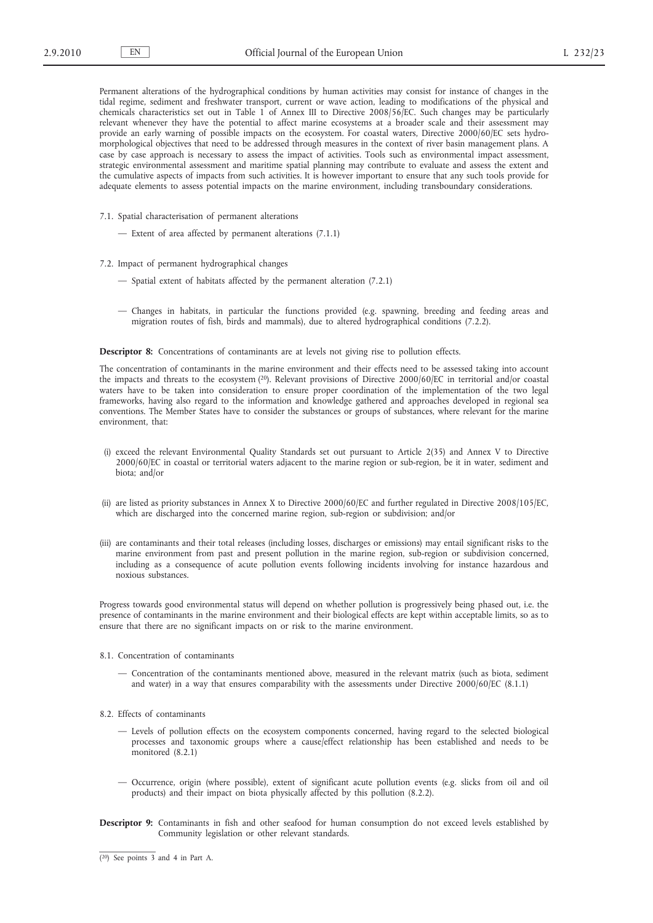Permanent alterations of the hydrographical conditions by human activities may consist for instance of changes in the tidal regime, sediment and freshwater transport, current or wave action, leading to modifications of the physical and chemicals characteristics set out in Table 1 of Annex III to Directive 2008/56/EC. Such changes may be particularly relevant whenever they have the potential to affect marine ecosystems at a broader scale and their assessment may provide an early warning of possible impacts on the ecosystem. For coastal waters, Directive 2000/60/EC sets hydromorphological objectives that need to be addressed through measures in the context of river basin management plans. A case by case approach is necessary to assess the impact of activities. Tools such as environmental impact assessment, strategic environmental assessment and maritime spatial planning may contribute to evaluate and assess the extent and the cumulative aspects of impacts from such activities. It is however important to ensure that any such tools provide for adequate elements to assess potential impacts on the marine environment, including transboundary considerations.

- 7.1. Spatial characterisation of permanent alterations
	- Extent of area affected by permanent alterations (7.1.1)
- 7.2. Impact of permanent hydrographical changes
	- Spatial extent of habitats affected by the permanent alteration (7.2.1)
	- Changes in habitats, in particular the functions provided (e.g. spawning, breeding and feeding areas and migration routes of fish, birds and mammals), due to altered hydrographical conditions (7.2.2).

**Descriptor 8:** Concentrations of contaminants are at levels not giving rise to pollution effects.

The concentration of contaminants in the marine environment and their effects need to be assessed taking into account the impacts and threats to the ecosystem (<sup>20</sup>). Relevant provisions of Directive 2000/60/EC in territorial and/or coastal waters have to be taken into consideration to ensure proper coordination of the implementation of the two legal frameworks, having also regard to the information and knowledge gathered and approaches developed in regional sea conventions. The Member States have to consider the substances or groups of substances, where relevant for the marine environment, that:

- (i) exceed the relevant Environmental Quality Standards set out pursuant to Article 2(35) and Annex V to Directive 2000/60/EC in coastal or territorial waters adjacent to the marine region or sub-region, be it in water, sediment and biota; and/or
- (ii) are listed as priority substances in Annex X to Directive 2000/60/EC and further regulated in Directive 2008/105/EC, which are discharged into the concerned marine region, sub-region or subdivision; and/or
- (iii) are contaminants and their total releases (including losses, discharges or emissions) may entail significant risks to the marine environment from past and present pollution in the marine region, sub-region or subdivision concerned, including as a consequence of acute pollution events following incidents involving for instance hazardous and noxious substances.

Progress towards good environmental status will depend on whether pollution is progressively being phased out, i.e. the presence of contaminants in the marine environment and their biological effects are kept within acceptable limits, so as to ensure that there are no significant impacts on or risk to the marine environment.

# 8.1. Concentration of contaminants

- Concentration of the contaminants mentioned above, measured in the relevant matrix (such as biota, sediment and water) in a way that ensures comparability with the assessments under Directive 2000/60/EC (8.1.1)
- 8.2. Effects of contaminants
	- Levels of pollution effects on the ecosystem components concerned, having regard to the selected biological processes and taxonomic groups where a cause/effect relationship has been established and needs to be monitored (8.2.1)
	- Occurrence, origin (where possible), extent of significant acute pollution events (e.g. slicks from oil and oil products) and their impact on biota physically affected by this pollution (8.2.2).
- **Descriptor 9:** Contaminants in fish and other seafood for human consumption do not exceed levels established by Community legislation or other relevant standards.

<sup>(</sup> 20) See points 3 and 4 in Part A.